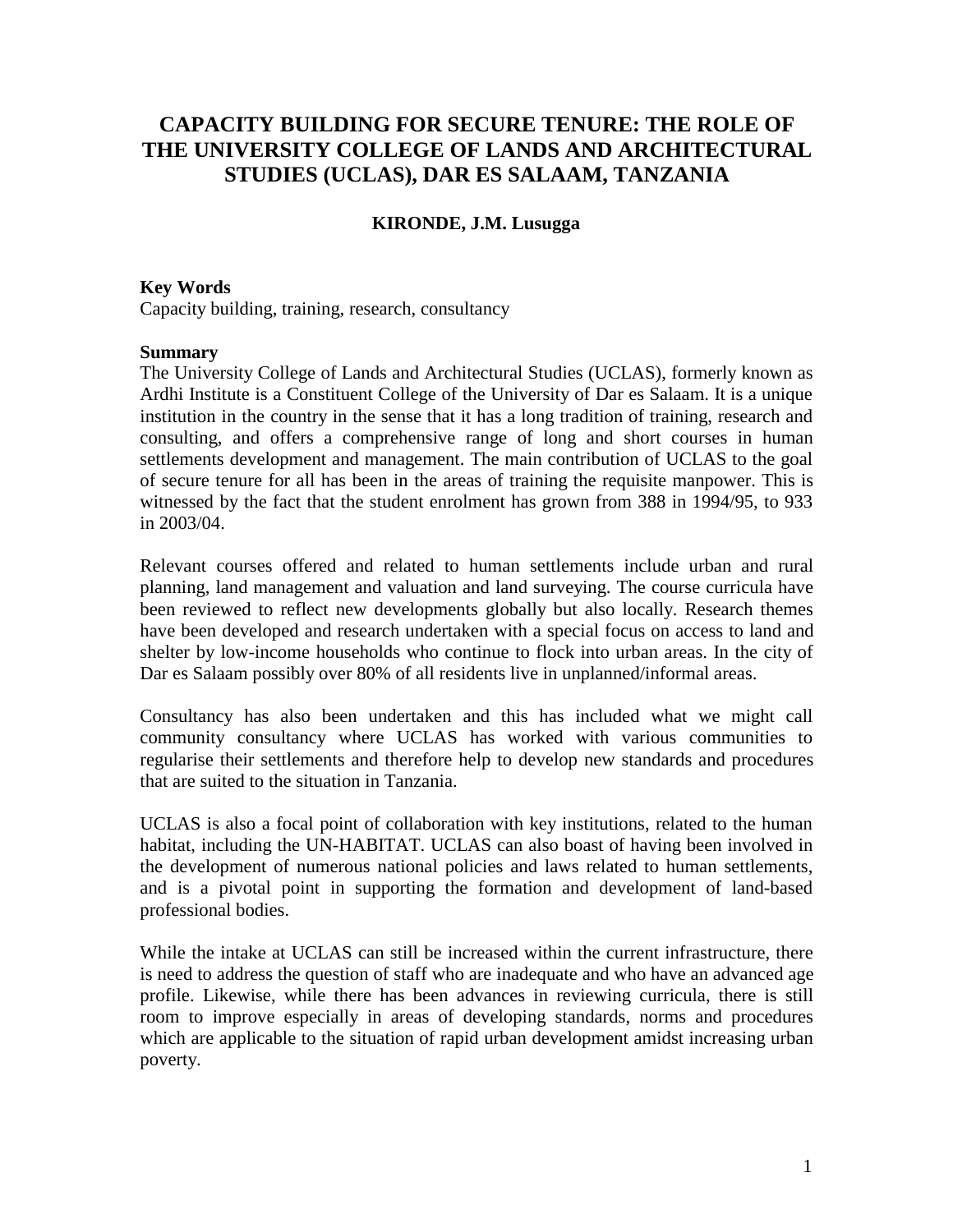# **CAPACITY BUILDING FOR SECURE TENURE: THE ROLE OF THE UNIVERSITY COLLEGE OF LANDS AND ARCHITECTURAL STUDIES (UCLAS), DAR ES SALAAM, TANZANIA**

### **KIRONDE, J.M. Lusugga**

#### **Key Words**

Capacity building, training, research, consultancy

#### **Summary**

The University College of Lands and Architectural Studies (UCLAS), formerly known as Ardhi Institute is a Constituent College of the University of Dar es Salaam. It is a unique institution in the country in the sense that it has a long tradition of training, research and consulting, and offers a comprehensive range of long and short courses in human settlements development and management. The main contribution of UCLAS to the goal of secure tenure for all has been in the areas of training the requisite manpower. This is witnessed by the fact that the student enrolment has grown from 388 in 1994/95, to 933 in 2003/04.

Relevant courses offered and related to human settlements include urban and rural planning, land management and valuation and land surveying. The course curricula have been reviewed to reflect new developments globally but also locally. Research themes have been developed and research undertaken with a special focus on access to land and shelter by low-income households who continue to flock into urban areas. In the city of Dar es Salaam possibly over 80% of all residents live in unplanned/informal areas.

Consultancy has also been undertaken and this has included what we might call community consultancy where UCLAS has worked with various communities to regularise their settlements and therefore help to develop new standards and procedures that are suited to the situation in Tanzania.

UCLAS is also a focal point of collaboration with key institutions, related to the human habitat, including the UN-HABITAT. UCLAS can also boast of having been involved in the development of numerous national policies and laws related to human settlements, and is a pivotal point in supporting the formation and development of land-based professional bodies.

While the intake at UCLAS can still be increased within the current infrastructure, there is need to address the question of staff who are inadequate and who have an advanced age profile. Likewise, while there has been advances in reviewing curricula, there is still room to improve especially in areas of developing standards, norms and procedures which are applicable to the situation of rapid urban development amidst increasing urban poverty.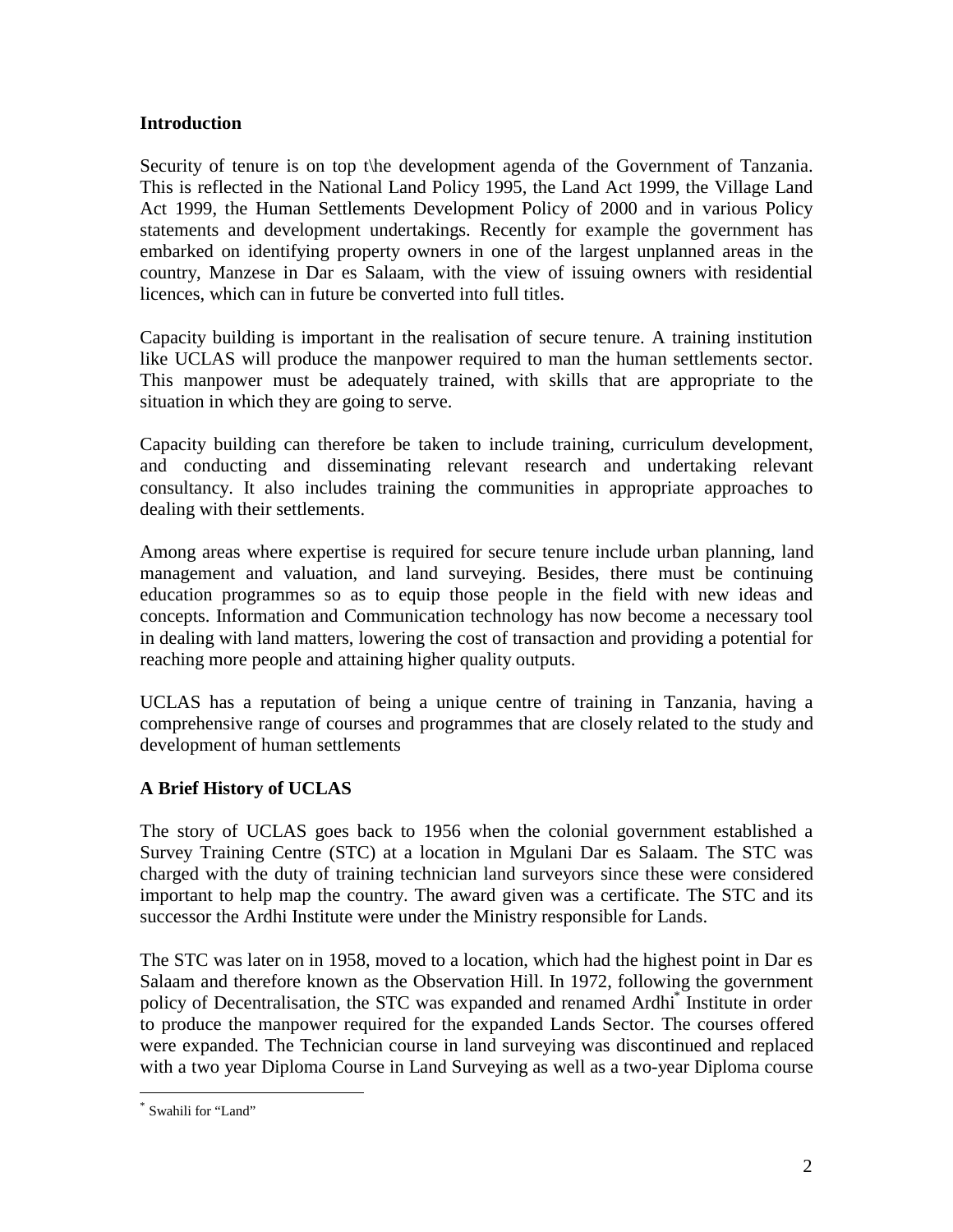### **Introduction**

Security of tenure is on top t\he development agenda of the Government of Tanzania. This is reflected in the National Land Policy 1995, the Land Act 1999, the Village Land Act 1999, the Human Settlements Development Policy of 2000 and in various Policy statements and development undertakings. Recently for example the government has embarked on identifying property owners in one of the largest unplanned areas in the country, Manzese in Dar es Salaam, with the view of issuing owners with residential licences, which can in future be converted into full titles.

Capacity building is important in the realisation of secure tenure. A training institution like UCLAS will produce the manpower required to man the human settlements sector. This manpower must be adequately trained, with skills that are appropriate to the situation in which they are going to serve.

Capacity building can therefore be taken to include training, curriculum development, and conducting and disseminating relevant research and undertaking relevant consultancy. It also includes training the communities in appropriate approaches to dealing with their settlements.

Among areas where expertise is required for secure tenure include urban planning, land management and valuation, and land surveying. Besides, there must be continuing education programmes so as to equip those people in the field with new ideas and concepts. Information and Communication technology has now become a necessary tool in dealing with land matters, lowering the cost of transaction and providing a potential for reaching more people and attaining higher quality outputs.

UCLAS has a reputation of being a unique centre of training in Tanzania, having a comprehensive range of courses and programmes that are closely related to the study and development of human settlements

# **A Brief History of UCLAS**

The story of UCLAS goes back to 1956 when the colonial government established a Survey Training Centre (STC) at a location in Mgulani Dar es Salaam. The STC was charged with the duty of training technician land surveyors since these were considered important to help map the country. The award given was a certificate. The STC and its successor the Ardhi Institute were under the Ministry responsible for Lands.

The STC was later on in 1958, moved to a location, which had the highest point in Dar es Salaam and therefore known as the Observation Hill. In 1972, following the government policy of Decentralisation, the STC was expanded and renamed Ardhi<sup>\*</sup> Institute in order to produce the manpower required for the expanded Lands Sector. The courses offered were expanded. The Technician course in land surveying was discontinued and replaced with a two year Diploma Course in Land Surveying as well as a two-year Diploma course

 $\overline{a}$ 

<sup>\*</sup> Swahili for "Land"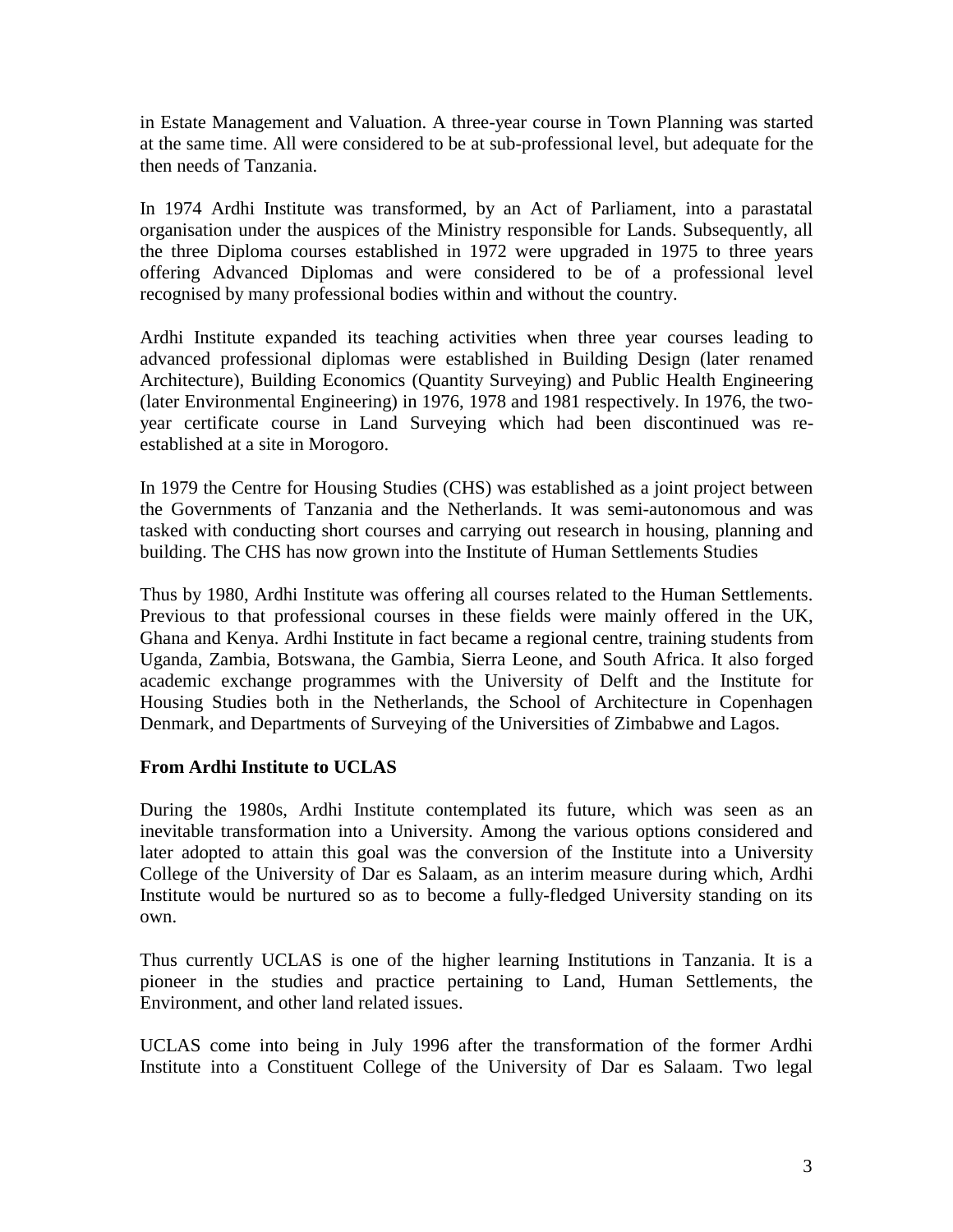in Estate Management and Valuation. A three-year course in Town Planning was started at the same time. All were considered to be at sub-professional level, but adequate for the then needs of Tanzania.

In 1974 Ardhi Institute was transformed, by an Act of Parliament, into a parastatal organisation under the auspices of the Ministry responsible for Lands. Subsequently, all the three Diploma courses established in 1972 were upgraded in 1975 to three years offering Advanced Diplomas and were considered to be of a professional level recognised by many professional bodies within and without the country.

Ardhi Institute expanded its teaching activities when three year courses leading to advanced professional diplomas were established in Building Design (later renamed Architecture), Building Economics (Quantity Surveying) and Public Health Engineering (later Environmental Engineering) in 1976, 1978 and 1981 respectively. In 1976, the twoyear certificate course in Land Surveying which had been discontinued was reestablished at a site in Morogoro.

In 1979 the Centre for Housing Studies (CHS) was established as a joint project between the Governments of Tanzania and the Netherlands. It was semi-autonomous and was tasked with conducting short courses and carrying out research in housing, planning and building. The CHS has now grown into the Institute of Human Settlements Studies

Thus by 1980, Ardhi Institute was offering all courses related to the Human Settlements. Previous to that professional courses in these fields were mainly offered in the UK, Ghana and Kenya. Ardhi Institute in fact became a regional centre, training students from Uganda, Zambia, Botswana, the Gambia, Sierra Leone, and South Africa. It also forged academic exchange programmes with the University of Delft and the Institute for Housing Studies both in the Netherlands, the School of Architecture in Copenhagen Denmark, and Departments of Surveying of the Universities of Zimbabwe and Lagos.

# **From Ardhi Institute to UCLAS**

During the 1980s, Ardhi Institute contemplated its future, which was seen as an inevitable transformation into a University. Among the various options considered and later adopted to attain this goal was the conversion of the Institute into a University College of the University of Dar es Salaam, as an interim measure during which, Ardhi Institute would be nurtured so as to become a fully-fledged University standing on its own.

Thus currently UCLAS is one of the higher learning Institutions in Tanzania. It is a pioneer in the studies and practice pertaining to Land, Human Settlements, the Environment, and other land related issues.

UCLAS come into being in July 1996 after the transformation of the former Ardhi Institute into a Constituent College of the University of Dar es Salaam. Two legal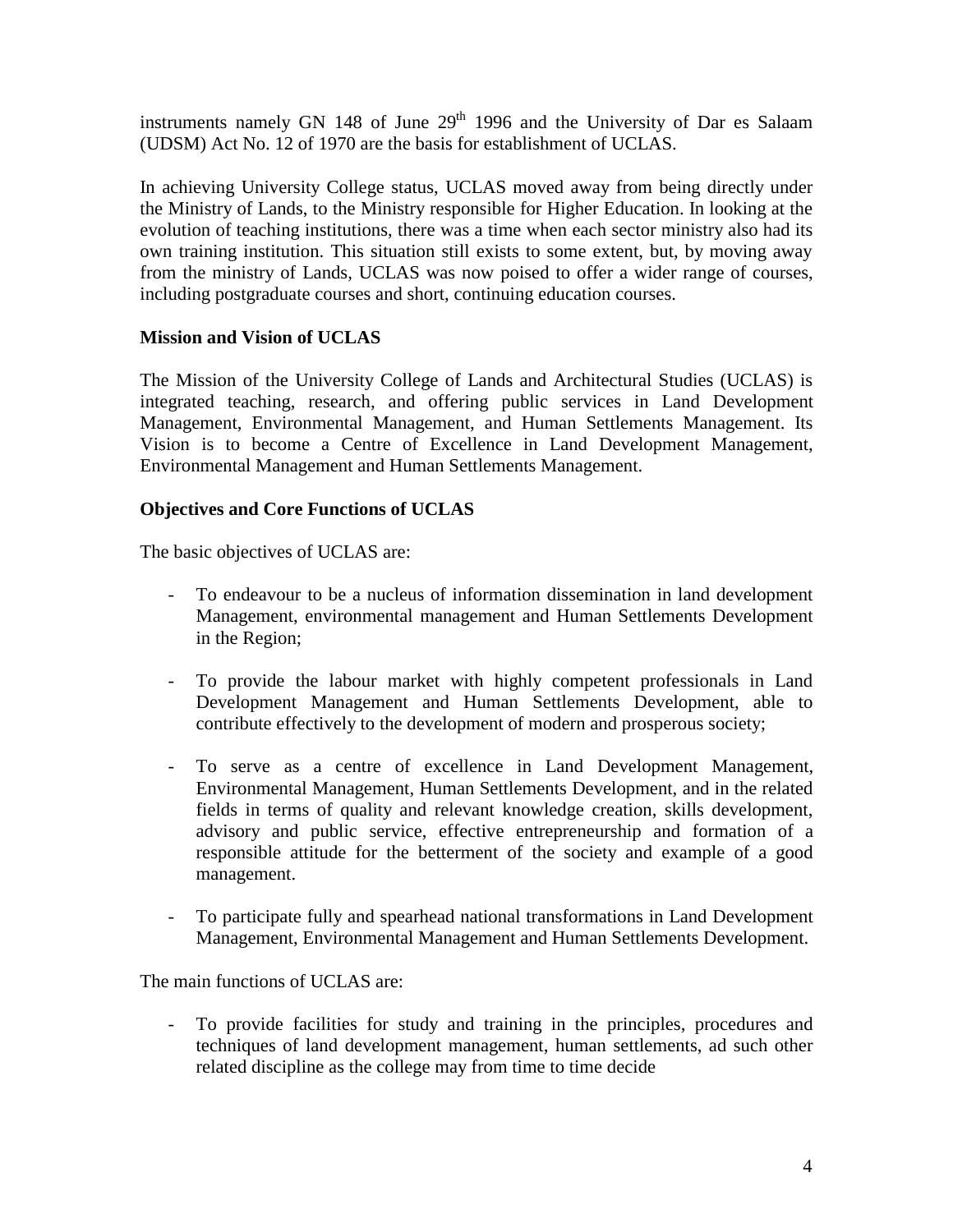instruments namely GN 148 of June  $29<sup>th</sup>$  1996 and the University of Dar es Salaam (UDSM) Act No. 12 of 1970 are the basis for establishment of UCLAS.

In achieving University College status, UCLAS moved away from being directly under the Ministry of Lands, to the Ministry responsible for Higher Education. In looking at the evolution of teaching institutions, there was a time when each sector ministry also had its own training institution. This situation still exists to some extent, but, by moving away from the ministry of Lands, UCLAS was now poised to offer a wider range of courses, including postgraduate courses and short, continuing education courses.

# **Mission and Vision of UCLAS**

The Mission of the University College of Lands and Architectural Studies (UCLAS) is integrated teaching, research, and offering public services in Land Development Management, Environmental Management, and Human Settlements Management. Its Vision is to become a Centre of Excellence in Land Development Management, Environmental Management and Human Settlements Management.

# **Objectives and Core Functions of UCLAS**

The basic objectives of UCLAS are:

- To endeavour to be a nucleus of information dissemination in land development Management, environmental management and Human Settlements Development in the Region;
- To provide the labour market with highly competent professionals in Land Development Management and Human Settlements Development, able to contribute effectively to the development of modern and prosperous society;
- To serve as a centre of excellence in Land Development Management, Environmental Management, Human Settlements Development, and in the related fields in terms of quality and relevant knowledge creation, skills development, advisory and public service, effective entrepreneurship and formation of a responsible attitude for the betterment of the society and example of a good management.
- To participate fully and spearhead national transformations in Land Development Management, Environmental Management and Human Settlements Development.

The main functions of UCLAS are:

- To provide facilities for study and training in the principles, procedures and techniques of land development management, human settlements, ad such other related discipline as the college may from time to time decide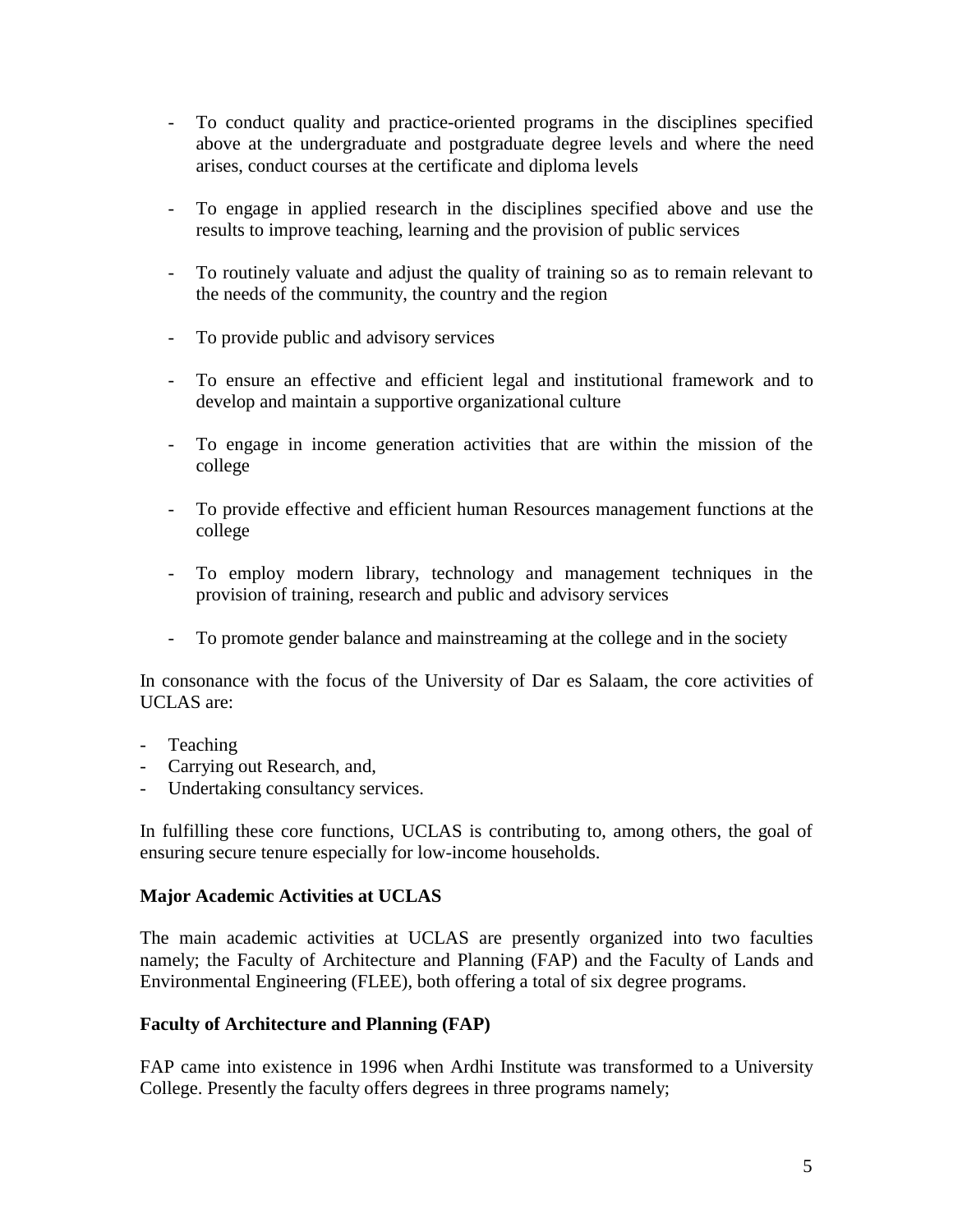- To conduct quality and practice-oriented programs in the disciplines specified above at the undergraduate and postgraduate degree levels and where the need arises, conduct courses at the certificate and diploma levels
- To engage in applied research in the disciplines specified above and use the results to improve teaching, learning and the provision of public services
- To routinely valuate and adjust the quality of training so as to remain relevant to the needs of the community, the country and the region
- To provide public and advisory services
- To ensure an effective and efficient legal and institutional framework and to develop and maintain a supportive organizational culture
- To engage in income generation activities that are within the mission of the college
- To provide effective and efficient human Resources management functions at the college
- To employ modern library, technology and management techniques in the provision of training, research and public and advisory services
- To promote gender balance and mainstreaming at the college and in the society

In consonance with the focus of the University of Dar es Salaam, the core activities of UCLAS are:

- Teaching
- Carrying out Research, and,
- Undertaking consultancy services.

In fulfilling these core functions, UCLAS is contributing to, among others, the goal of ensuring secure tenure especially for low-income households.

# **Major Academic Activities at UCLAS**

The main academic activities at UCLAS are presently organized into two faculties namely; the Faculty of Architecture and Planning (FAP) and the Faculty of Lands and Environmental Engineering (FLEE), both offering a total of six degree programs.

# **Faculty of Architecture and Planning (FAP)**

FAP came into existence in 1996 when Ardhi Institute was transformed to a University College. Presently the faculty offers degrees in three programs namely;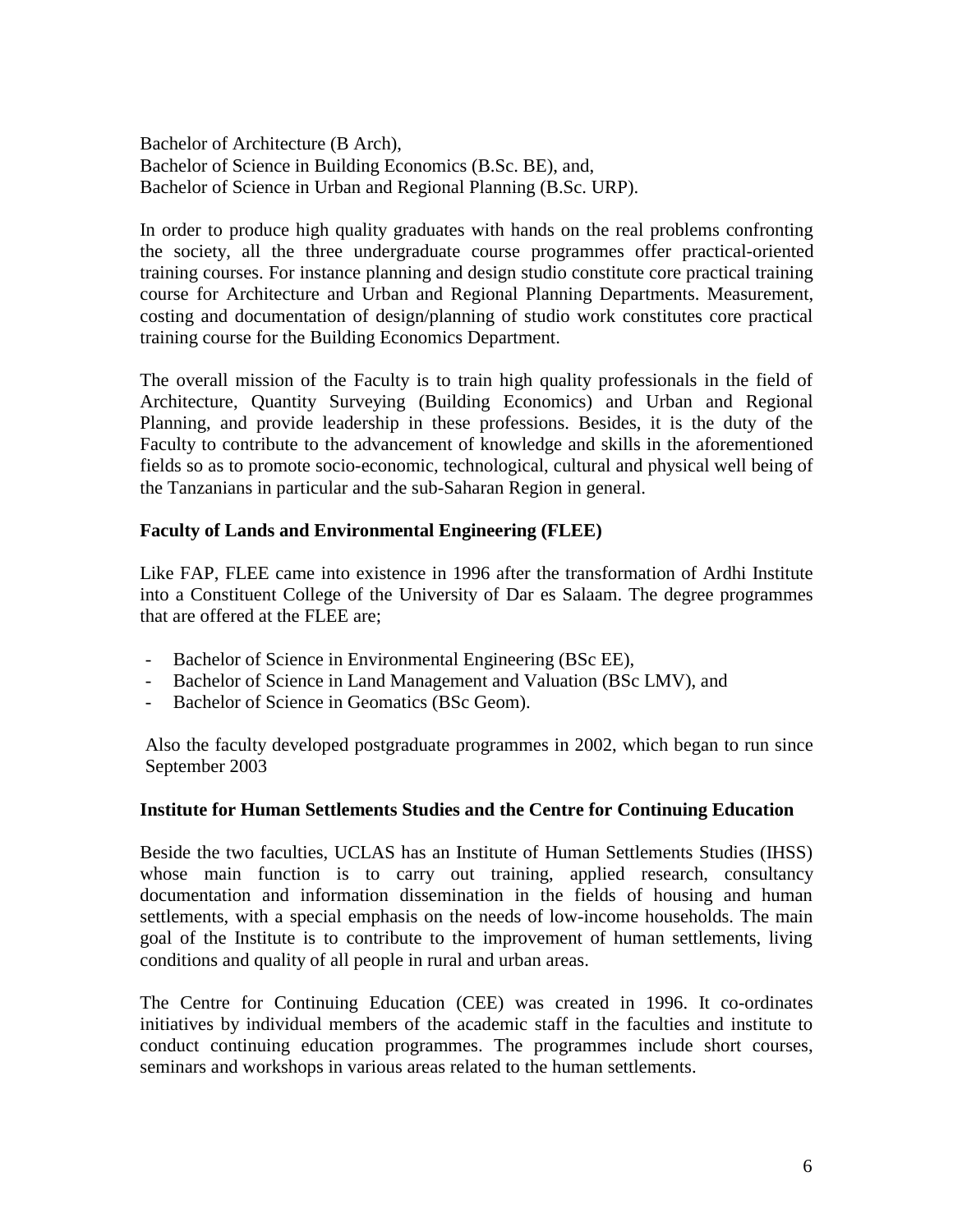Bachelor of Architecture (B Arch), Bachelor of Science in Building Economics (B.Sc. BE), and, Bachelor of Science in Urban and Regional Planning (B.Sc. URP).

In order to produce high quality graduates with hands on the real problems confronting the society, all the three undergraduate course programmes offer practical-oriented training courses. For instance planning and design studio constitute core practical training course for Architecture and Urban and Regional Planning Departments. Measurement, costing and documentation of design/planning of studio work constitutes core practical training course for the Building Economics Department.

The overall mission of the Faculty is to train high quality professionals in the field of Architecture, Quantity Surveying (Building Economics) and Urban and Regional Planning, and provide leadership in these professions. Besides, it is the duty of the Faculty to contribute to the advancement of knowledge and skills in the aforementioned fields so as to promote socio-economic, technological, cultural and physical well being of the Tanzanians in particular and the sub-Saharan Region in general.

# **Faculty of Lands and Environmental Engineering (FLEE)**

Like FAP, FLEE came into existence in 1996 after the transformation of Ardhi Institute into a Constituent College of the University of Dar es Salaam. The degree programmes that are offered at the FLEE are;

- Bachelor of Science in Environmental Engineering (BSc EE),
- Bachelor of Science in Land Management and Valuation (BSc LMV), and
- Bachelor of Science in Geomatics (BSc Geom).

Also the faculty developed postgraduate programmes in 2002, which began to run since September 2003

#### **Institute for Human Settlements Studies and the Centre for Continuing Education**

Beside the two faculties, UCLAS has an Institute of Human Settlements Studies (IHSS) whose main function is to carry out training, applied research, consultancy documentation and information dissemination in the fields of housing and human settlements, with a special emphasis on the needs of low-income households. The main goal of the Institute is to contribute to the improvement of human settlements, living conditions and quality of all people in rural and urban areas.

The Centre for Continuing Education (CEE) was created in 1996. It co-ordinates initiatives by individual members of the academic staff in the faculties and institute to conduct continuing education programmes. The programmes include short courses, seminars and workshops in various areas related to the human settlements.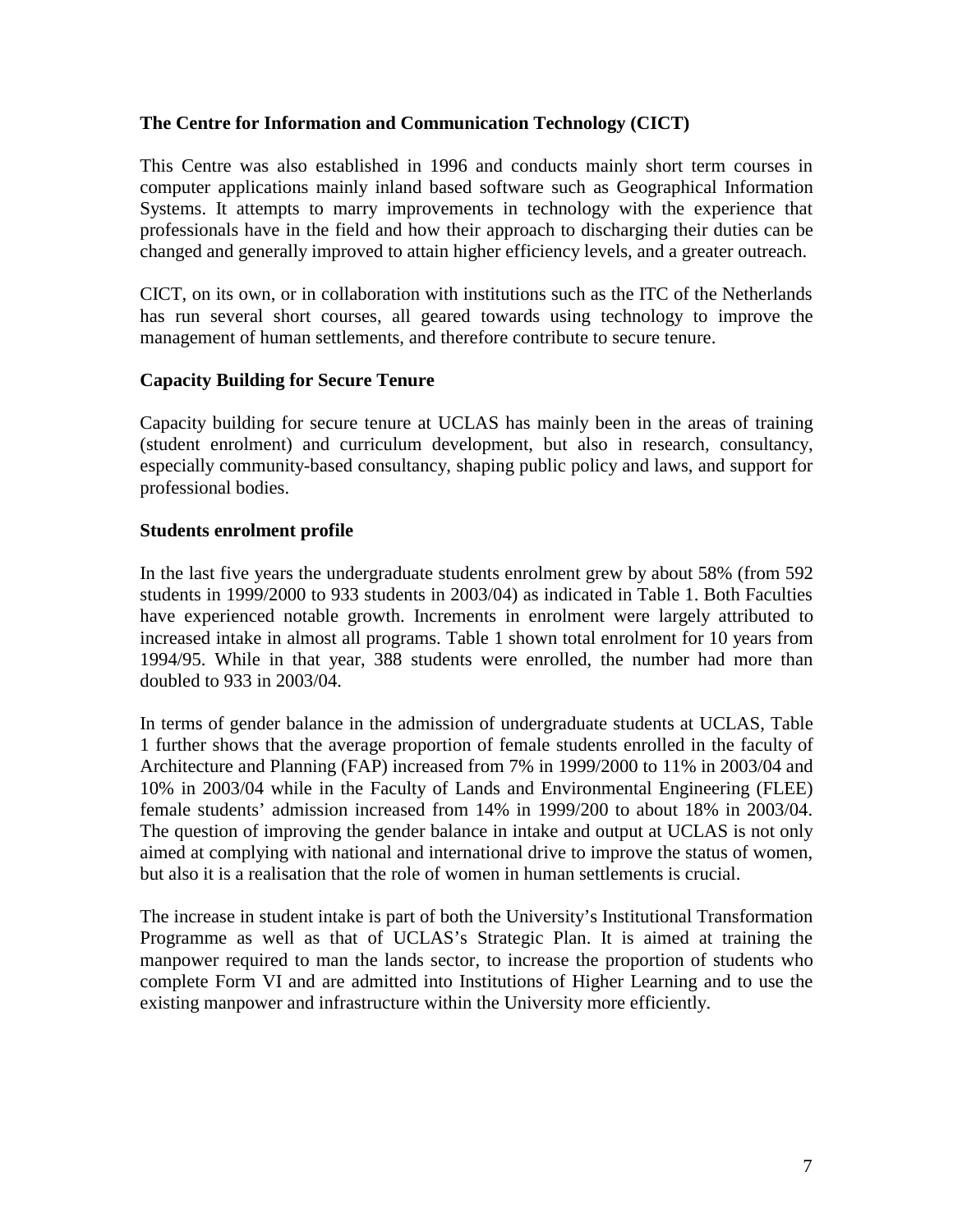### **The Centre for Information and Communication Technology (CICT)**

This Centre was also established in 1996 and conducts mainly short term courses in computer applications mainly inland based software such as Geographical Information Systems. It attempts to marry improvements in technology with the experience that professionals have in the field and how their approach to discharging their duties can be changed and generally improved to attain higher efficiency levels, and a greater outreach.

CICT, on its own, or in collaboration with institutions such as the ITC of the Netherlands has run several short courses, all geared towards using technology to improve the management of human settlements, and therefore contribute to secure tenure.

### **Capacity Building for Secure Tenure**

Capacity building for secure tenure at UCLAS has mainly been in the areas of training (student enrolment) and curriculum development, but also in research, consultancy, especially community-based consultancy, shaping public policy and laws, and support for professional bodies.

#### **Students enrolment profile**

In the last five years the undergraduate students enrolment grew by about 58% (from 592 students in 1999/2000 to 933 students in 2003/04) as indicated in Table 1. Both Faculties have experienced notable growth. Increments in enrolment were largely attributed to increased intake in almost all programs. Table 1 shown total enrolment for 10 years from 1994/95. While in that year, 388 students were enrolled, the number had more than doubled to 933 in 2003/04.

In terms of gender balance in the admission of undergraduate students at UCLAS, Table 1 further shows that the average proportion of female students enrolled in the faculty of Architecture and Planning (FAP) increased from 7% in 1999/2000 to 11% in 2003/04 and 10% in 2003/04 while in the Faculty of Lands and Environmental Engineering (FLEE) female students' admission increased from 14% in 1999/200 to about 18% in 2003/04. The question of improving the gender balance in intake and output at UCLAS is not only aimed at complying with national and international drive to improve the status of women, but also it is a realisation that the role of women in human settlements is crucial.

The increase in student intake is part of both the University's Institutional Transformation Programme as well as that of UCLAS's Strategic Plan. It is aimed at training the manpower required to man the lands sector, to increase the proportion of students who complete Form VI and are admitted into Institutions of Higher Learning and to use the existing manpower and infrastructure within the University more efficiently.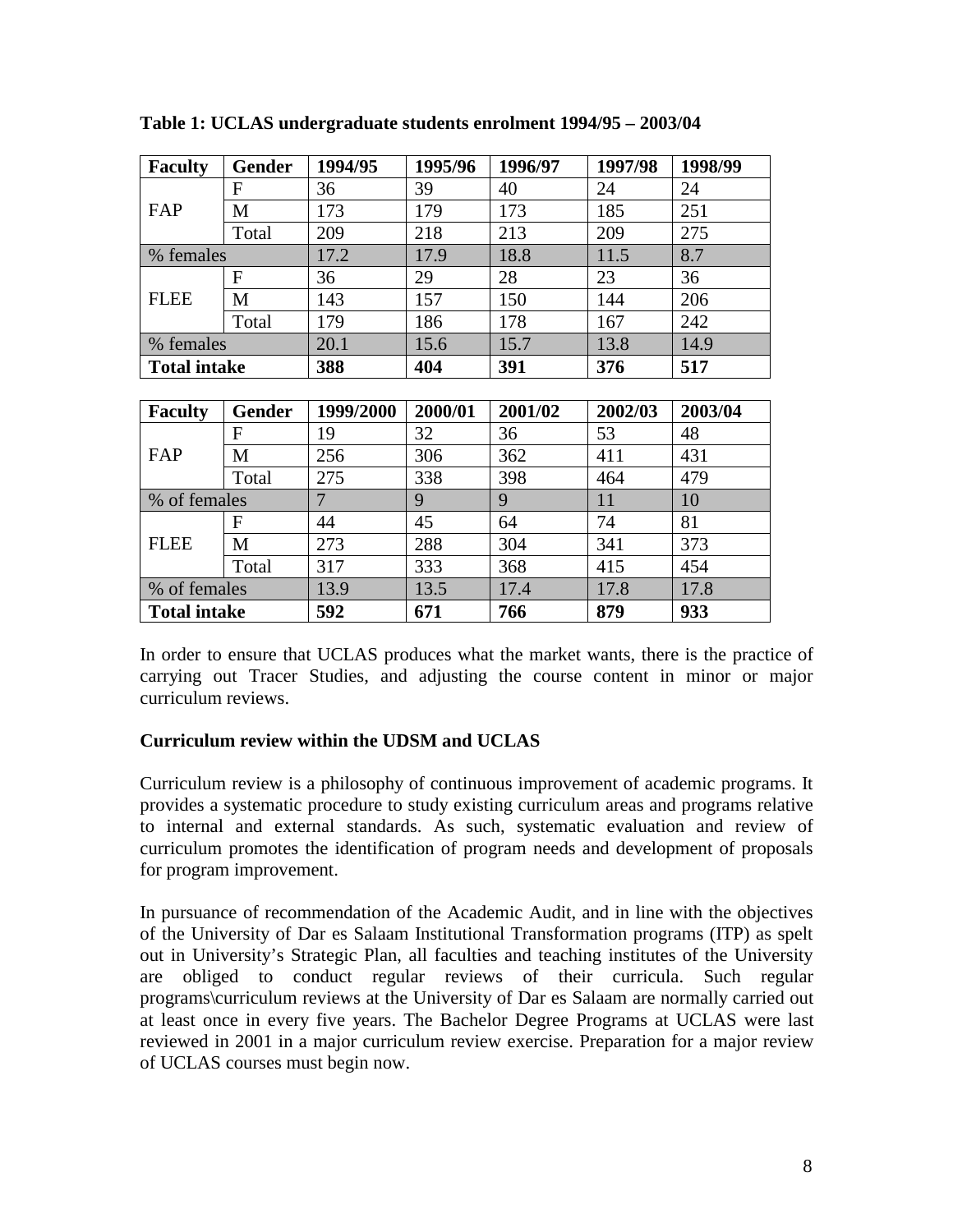| <b>Faculty</b>      | Gender        | 1994/95        | 1995/96 | 1996/97 | 1997/98 | 1998/99 |  |
|---------------------|---------------|----------------|---------|---------|---------|---------|--|
| FAP                 | F             | 36             | 39      | 40      | 24      | 24      |  |
|                     | M             | 173            | 179     | 173     | 185     | 251     |  |
|                     | Total         | 209            | 218     | 213     | 209     | 275     |  |
| % females           |               | 17.2           | 17.9    | 18.8    | 11.5    | 8.7     |  |
| <b>FLEE</b>         | $\mathbf F$   | 36             | 29      | 28      | 23      | 36      |  |
|                     | M             | 143            | 157     | 150     | 144     | 206     |  |
|                     | Total         | 179            | 186     | 178     | 167     | 242     |  |
| % females           |               | 20.1           | 15.6    | 15.7    | 13.8    | 14.9    |  |
| <b>Total intake</b> |               | 388            | 404     | 391     | 376     | 517     |  |
|                     |               |                |         |         |         |         |  |
|                     |               |                |         |         |         |         |  |
| <b>Faculty</b>      | <b>Gender</b> | 1999/2000      | 2000/01 | 2001/02 | 2002/03 | 2003/04 |  |
|                     | F             | 19             | 32      | 36      | 53      | 48      |  |
| FAP                 | M             | 256            | 306     | 362     | 411     | 431     |  |
|                     | Total         | 275            | 338     | 398     | 464     | 479     |  |
| % of females        |               | $\overline{7}$ | 9       | 9       | 11      | 10      |  |
|                     | $\mathbf F$   | 44             | 45      | 64      | 74      | 81      |  |
| <b>FLEE</b>         | M             | 273            | 288     | 304     | 341     | 373     |  |
|                     | Total         | 317            | 333     | 368     | 415     | 454     |  |
| % of females        |               | 13.9           | 13.5    | 17.4    | 17.8    | 17.8    |  |

**Table 1: UCLAS undergraduate students enrolment 1994/95 – 2003/04** 

In order to ensure that UCLAS produces what the market wants, there is the practice of carrying out Tracer Studies, and adjusting the course content in minor or major curriculum reviews.

# **Curriculum review within the UDSM and UCLAS**

Curriculum review is a philosophy of continuous improvement of academic programs. It provides a systematic procedure to study existing curriculum areas and programs relative to internal and external standards. As such, systematic evaluation and review of curriculum promotes the identification of program needs and development of proposals for program improvement.

In pursuance of recommendation of the Academic Audit, and in line with the objectives of the University of Dar es Salaam Institutional Transformation programs (ITP) as spelt out in University's Strategic Plan, all faculties and teaching institutes of the University are obliged to conduct regular reviews of their curricula. Such regular programs\curriculum reviews at the University of Dar es Salaam are normally carried out at least once in every five years. The Bachelor Degree Programs at UCLAS were last reviewed in 2001 in a major curriculum review exercise. Preparation for a major review of UCLAS courses must begin now.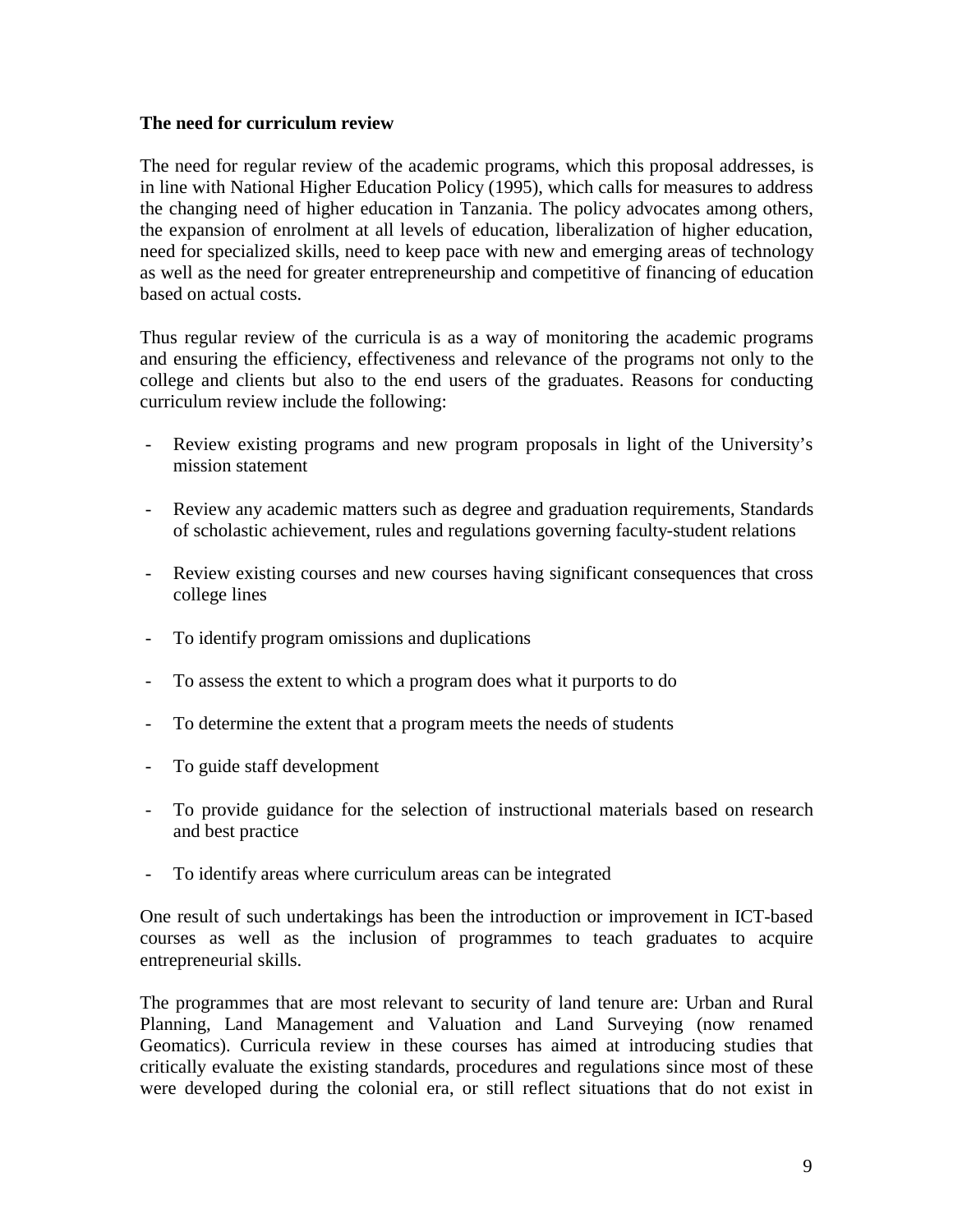#### **The need for curriculum review**

The need for regular review of the academic programs, which this proposal addresses, is in line with National Higher Education Policy (1995), which calls for measures to address the changing need of higher education in Tanzania. The policy advocates among others, the expansion of enrolment at all levels of education, liberalization of higher education, need for specialized skills, need to keep pace with new and emerging areas of technology as well as the need for greater entrepreneurship and competitive of financing of education based on actual costs.

Thus regular review of the curricula is as a way of monitoring the academic programs and ensuring the efficiency, effectiveness and relevance of the programs not only to the college and clients but also to the end users of the graduates. Reasons for conducting curriculum review include the following:

- Review existing programs and new program proposals in light of the University's mission statement
- Review any academic matters such as degree and graduation requirements, Standards of scholastic achievement, rules and regulations governing faculty-student relations
- Review existing courses and new courses having significant consequences that cross college lines
- To identify program omissions and duplications
- To assess the extent to which a program does what it purports to do
- To determine the extent that a program meets the needs of students
- To guide staff development
- To provide guidance for the selection of instructional materials based on research and best practice
- To identify areas where curriculum areas can be integrated

One result of such undertakings has been the introduction or improvement in ICT-based courses as well as the inclusion of programmes to teach graduates to acquire entrepreneurial skills.

The programmes that are most relevant to security of land tenure are: Urban and Rural Planning, Land Management and Valuation and Land Surveying (now renamed Geomatics). Curricula review in these courses has aimed at introducing studies that critically evaluate the existing standards, procedures and regulations since most of these were developed during the colonial era, or still reflect situations that do not exist in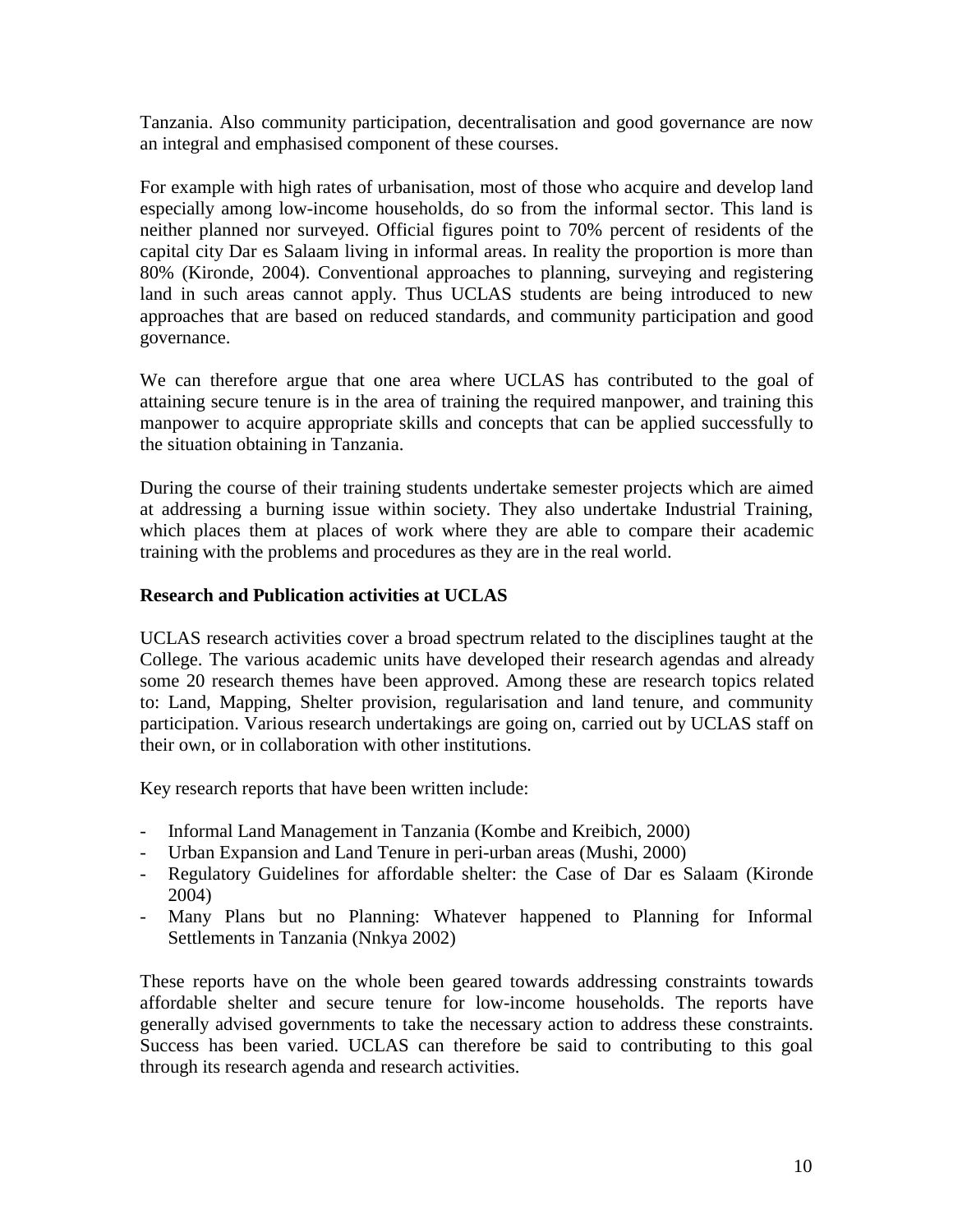Tanzania. Also community participation, decentralisation and good governance are now an integral and emphasised component of these courses.

For example with high rates of urbanisation, most of those who acquire and develop land especially among low-income households, do so from the informal sector. This land is neither planned nor surveyed. Official figures point to 70% percent of residents of the capital city Dar es Salaam living in informal areas. In reality the proportion is more than 80% (Kironde, 2004). Conventional approaches to planning, surveying and registering land in such areas cannot apply. Thus UCLAS students are being introduced to new approaches that are based on reduced standards, and community participation and good governance.

We can therefore argue that one area where UCLAS has contributed to the goal of attaining secure tenure is in the area of training the required manpower, and training this manpower to acquire appropriate skills and concepts that can be applied successfully to the situation obtaining in Tanzania.

During the course of their training students undertake semester projects which are aimed at addressing a burning issue within society. They also undertake Industrial Training, which places them at places of work where they are able to compare their academic training with the problems and procedures as they are in the real world.

# **Research and Publication activities at UCLAS**

UCLAS research activities cover a broad spectrum related to the disciplines taught at the College. The various academic units have developed their research agendas and already some 20 research themes have been approved. Among these are research topics related to: Land, Mapping, Shelter provision, regularisation and land tenure, and community participation. Various research undertakings are going on, carried out by UCLAS staff on their own, or in collaboration with other institutions.

Key research reports that have been written include:

- Informal Land Management in Tanzania (Kombe and Kreibich, 2000)
- Urban Expansion and Land Tenure in peri-urban areas (Mushi, 2000)
- Regulatory Guidelines for affordable shelter: the Case of Dar es Salaam (Kironde 2004)
- Many Plans but no Planning: Whatever happened to Planning for Informal Settlements in Tanzania (Nnkya 2002)

These reports have on the whole been geared towards addressing constraints towards affordable shelter and secure tenure for low-income households. The reports have generally advised governments to take the necessary action to address these constraints. Success has been varied. UCLAS can therefore be said to contributing to this goal through its research agenda and research activities.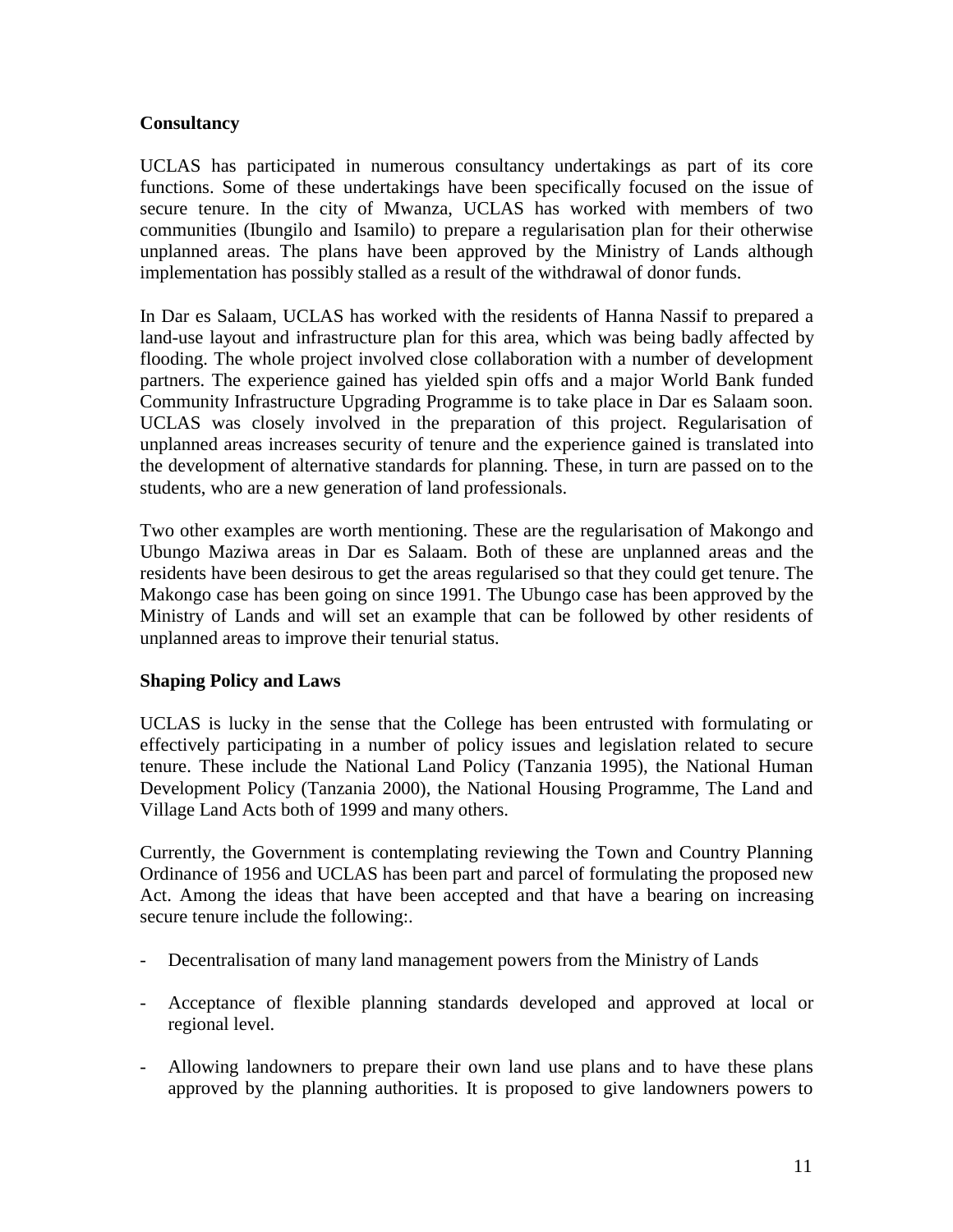# **Consultancy**

UCLAS has participated in numerous consultancy undertakings as part of its core functions. Some of these undertakings have been specifically focused on the issue of secure tenure. In the city of Mwanza, UCLAS has worked with members of two communities (Ibungilo and Isamilo) to prepare a regularisation plan for their otherwise unplanned areas. The plans have been approved by the Ministry of Lands although implementation has possibly stalled as a result of the withdrawal of donor funds.

In Dar es Salaam, UCLAS has worked with the residents of Hanna Nassif to prepared a land-use layout and infrastructure plan for this area, which was being badly affected by flooding. The whole project involved close collaboration with a number of development partners. The experience gained has yielded spin offs and a major World Bank funded Community Infrastructure Upgrading Programme is to take place in Dar es Salaam soon. UCLAS was closely involved in the preparation of this project. Regularisation of unplanned areas increases security of tenure and the experience gained is translated into the development of alternative standards for planning. These, in turn are passed on to the students, who are a new generation of land professionals.

Two other examples are worth mentioning. These are the regularisation of Makongo and Ubungo Maziwa areas in Dar es Salaam. Both of these are unplanned areas and the residents have been desirous to get the areas regularised so that they could get tenure. The Makongo case has been going on since 1991. The Ubungo case has been approved by the Ministry of Lands and will set an example that can be followed by other residents of unplanned areas to improve their tenurial status.

# **Shaping Policy and Laws**

UCLAS is lucky in the sense that the College has been entrusted with formulating or effectively participating in a number of policy issues and legislation related to secure tenure. These include the National Land Policy (Tanzania 1995), the National Human Development Policy (Tanzania 2000), the National Housing Programme, The Land and Village Land Acts both of 1999 and many others.

Currently, the Government is contemplating reviewing the Town and Country Planning Ordinance of 1956 and UCLAS has been part and parcel of formulating the proposed new Act. Among the ideas that have been accepted and that have a bearing on increasing secure tenure include the following:.

- Decentralisation of many land management powers from the Ministry of Lands
- Acceptance of flexible planning standards developed and approved at local or regional level.
- Allowing landowners to prepare their own land use plans and to have these plans approved by the planning authorities. It is proposed to give landowners powers to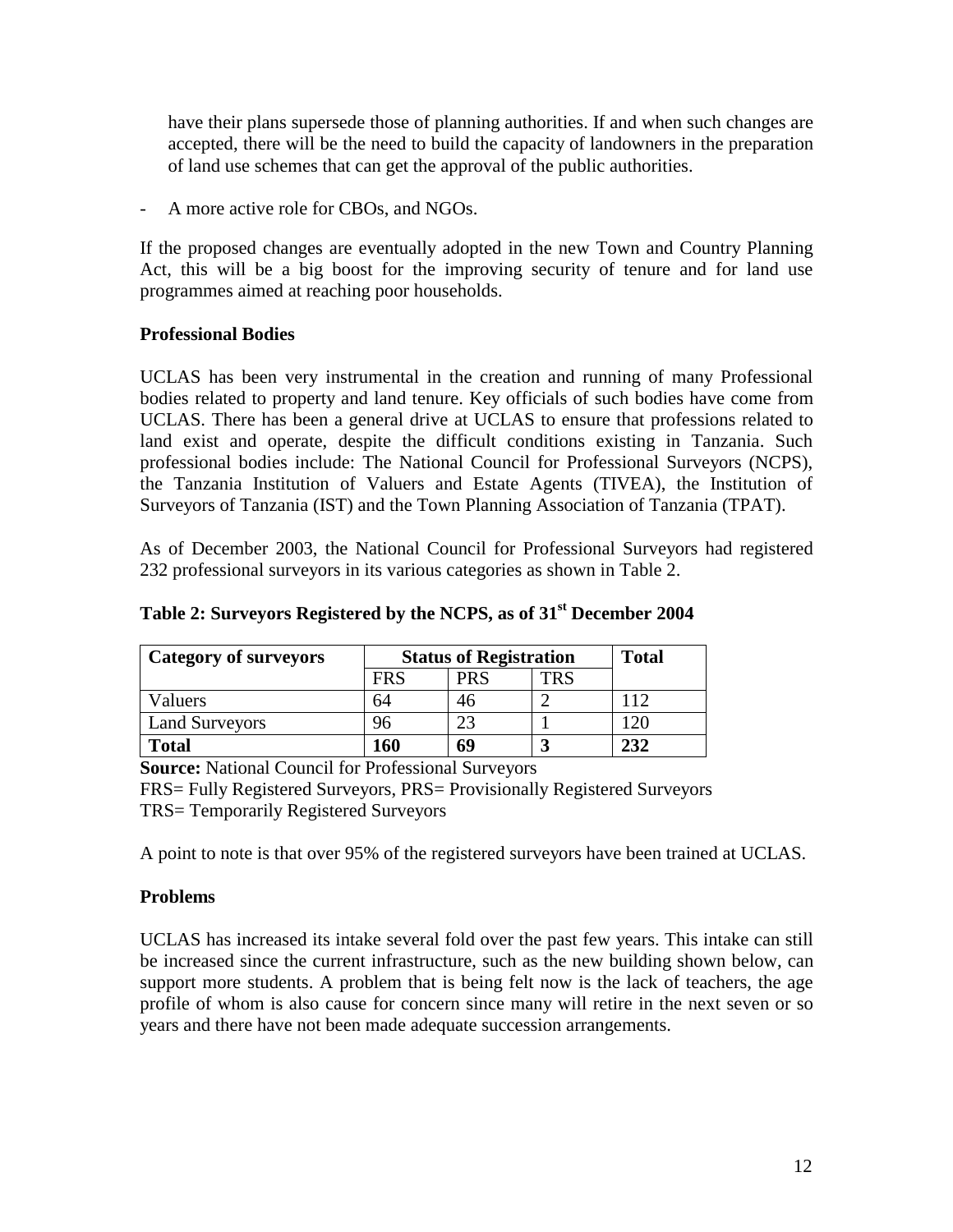have their plans supersede those of planning authorities. If and when such changes are accepted, there will be the need to build the capacity of landowners in the preparation of land use schemes that can get the approval of the public authorities.

A more active role for CBOs, and NGOs.

If the proposed changes are eventually adopted in the new Town and Country Planning Act, this will be a big boost for the improving security of tenure and for land use programmes aimed at reaching poor households.

# **Professional Bodies**

UCLAS has been very instrumental in the creation and running of many Professional bodies related to property and land tenure. Key officials of such bodies have come from UCLAS. There has been a general drive at UCLAS to ensure that professions related to land exist and operate, despite the difficult conditions existing in Tanzania. Such professional bodies include: The National Council for Professional Surveyors (NCPS), the Tanzania Institution of Valuers and Estate Agents (TIVEA), the Institution of Surveyors of Tanzania (IST) and the Town Planning Association of Tanzania (TPAT).

As of December 2003, the National Council for Professional Surveyors had registered 232 professional surveyors in its various categories as shown in Table 2.

| Category of surveyors | <b>Status of Registration</b> |            |     | <b>Total</b> |
|-----------------------|-------------------------------|------------|-----|--------------|
|                       | FRS                           | <b>PRS</b> | TRS |              |
| Valuers               | 64                            | 46         |     | 112          |
| <b>Land Surveyors</b> | 96                            | റാ         |     | 20           |
| <b>Total</b>          | 160                           | 69         |     | 232          |

# **Table 2: Surveyors Registered by the NCPS, as of 31st December 2004**

**Source:** National Council for Professional Surveyors

FRS= Fully Registered Surveyors, PRS= Provisionally Registered Surveyors TRS= Temporarily Registered Surveyors

A point to note is that over 95% of the registered surveyors have been trained at UCLAS.

# **Problems**

UCLAS has increased its intake several fold over the past few years. This intake can still be increased since the current infrastructure, such as the new building shown below, can support more students. A problem that is being felt now is the lack of teachers, the age profile of whom is also cause for concern since many will retire in the next seven or so years and there have not been made adequate succession arrangements.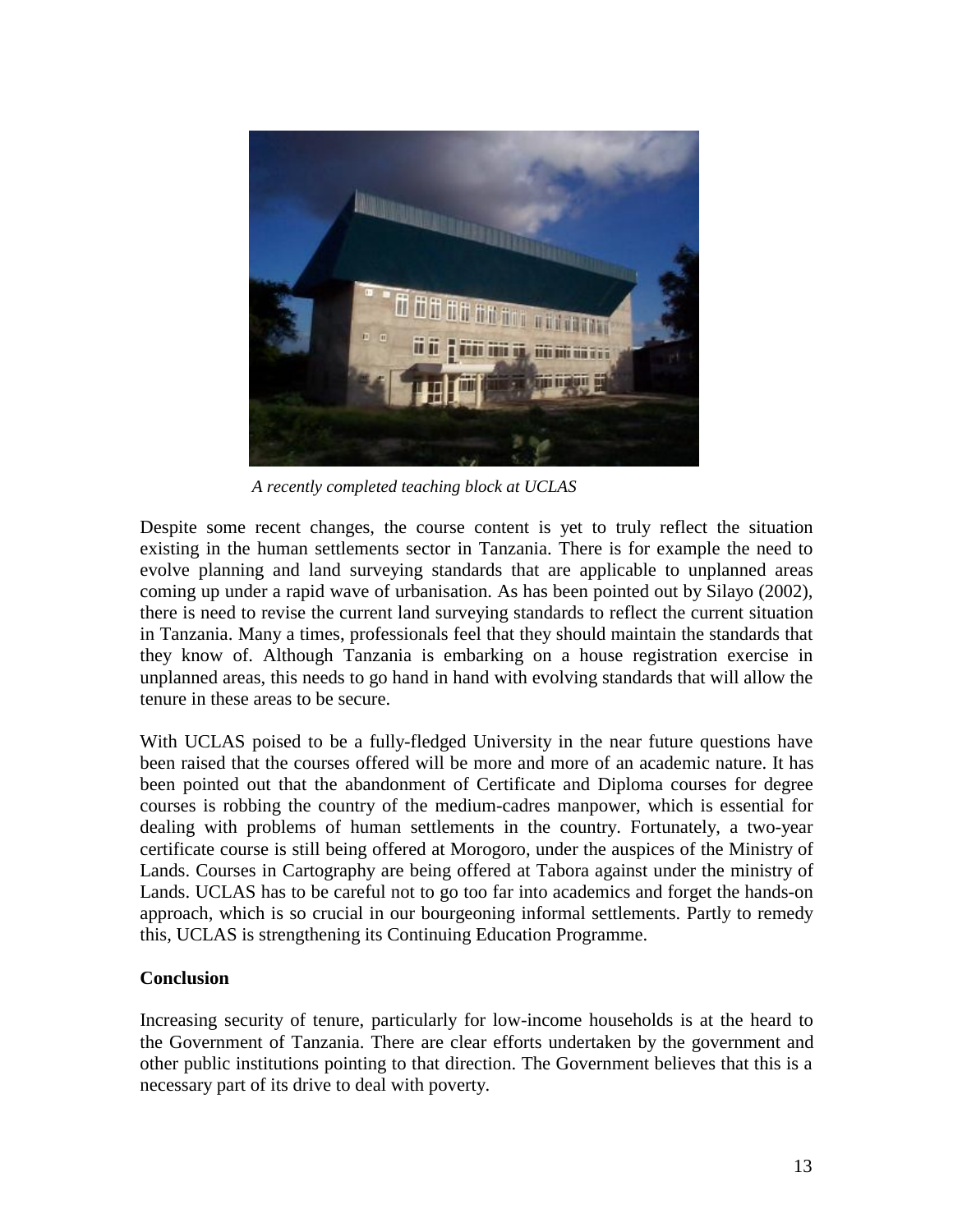

*A recently completed teaching block at UCLAS* 

Despite some recent changes, the course content is yet to truly reflect the situation existing in the human settlements sector in Tanzania. There is for example the need to evolve planning and land surveying standards that are applicable to unplanned areas coming up under a rapid wave of urbanisation. As has been pointed out by Silayo (2002), there is need to revise the current land surveying standards to reflect the current situation in Tanzania. Many a times, professionals feel that they should maintain the standards that they know of. Although Tanzania is embarking on a house registration exercise in unplanned areas, this needs to go hand in hand with evolving standards that will allow the tenure in these areas to be secure.

With UCLAS poised to be a fully-fledged University in the near future questions have been raised that the courses offered will be more and more of an academic nature. It has been pointed out that the abandonment of Certificate and Diploma courses for degree courses is robbing the country of the medium-cadres manpower, which is essential for dealing with problems of human settlements in the country. Fortunately, a two-year certificate course is still being offered at Morogoro, under the auspices of the Ministry of Lands. Courses in Cartography are being offered at Tabora against under the ministry of Lands. UCLAS has to be careful not to go too far into academics and forget the hands-on approach, which is so crucial in our bourgeoning informal settlements. Partly to remedy this, UCLAS is strengthening its Continuing Education Programme.

# **Conclusion**

Increasing security of tenure, particularly for low-income households is at the heard to the Government of Tanzania. There are clear efforts undertaken by the government and other public institutions pointing to that direction. The Government believes that this is a necessary part of its drive to deal with poverty.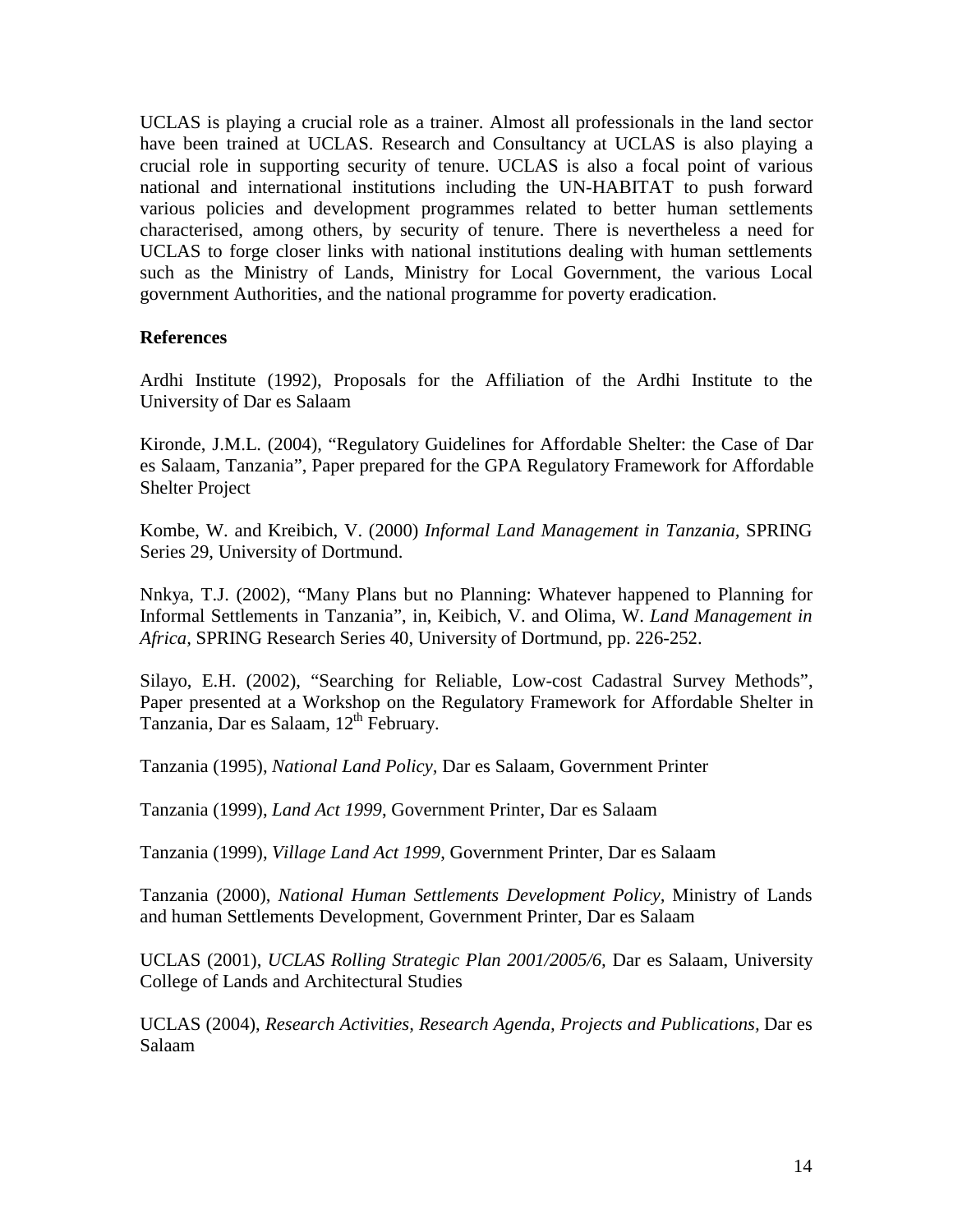UCLAS is playing a crucial role as a trainer. Almost all professionals in the land sector have been trained at UCLAS. Research and Consultancy at UCLAS is also playing a crucial role in supporting security of tenure. UCLAS is also a focal point of various national and international institutions including the UN-HABITAT to push forward various policies and development programmes related to better human settlements characterised, among others, by security of tenure. There is nevertheless a need for UCLAS to forge closer links with national institutions dealing with human settlements such as the Ministry of Lands, Ministry for Local Government, the various Local government Authorities, and the national programme for poverty eradication.

### **References**

Ardhi Institute (1992), Proposals for the Affiliation of the Ardhi Institute to the University of Dar es Salaam

Kironde, J.M.L. (2004), "Regulatory Guidelines for Affordable Shelter: the Case of Dar es Salaam, Tanzania", Paper prepared for the GPA Regulatory Framework for Affordable Shelter Project

Kombe, W. and Kreibich, V. (2000) *Informal Land Management in Tanzania,* SPRING Series 29, University of Dortmund.

Nnkya, T.J. (2002), "Many Plans but no Planning: Whatever happened to Planning for Informal Settlements in Tanzania", in, Keibich, V. and Olima, W. *Land Management in Africa,* SPRING Research Series 40, University of Dortmund, pp. 226-252.

Silayo, E.H. (2002), "Searching for Reliable, Low-cost Cadastral Survey Methods", Paper presented at a Workshop on the Regulatory Framework for Affordable Shelter in Tanzania, Dar es Salaam, 12<sup>th</sup> February.

Tanzania (1995), *National Land Policy,* Dar es Salaam, Government Printer

Tanzania (1999), *Land Act 1999*, Government Printer, Dar es Salaam

Tanzania (1999), *Village Land Act 1999*, Government Printer, Dar es Salaam

Tanzania (2000), *National Human Settlements Development Policy,* Ministry of Lands and human Settlements Development, Government Printer, Dar es Salaam

UCLAS (2001), *UCLAS Rolling Strategic Plan 2001/2005/6,* Dar es Salaam, University College of Lands and Architectural Studies

UCLAS (2004), *Research Activities, Research Agenda, Projects and Publications,* Dar es Salaam